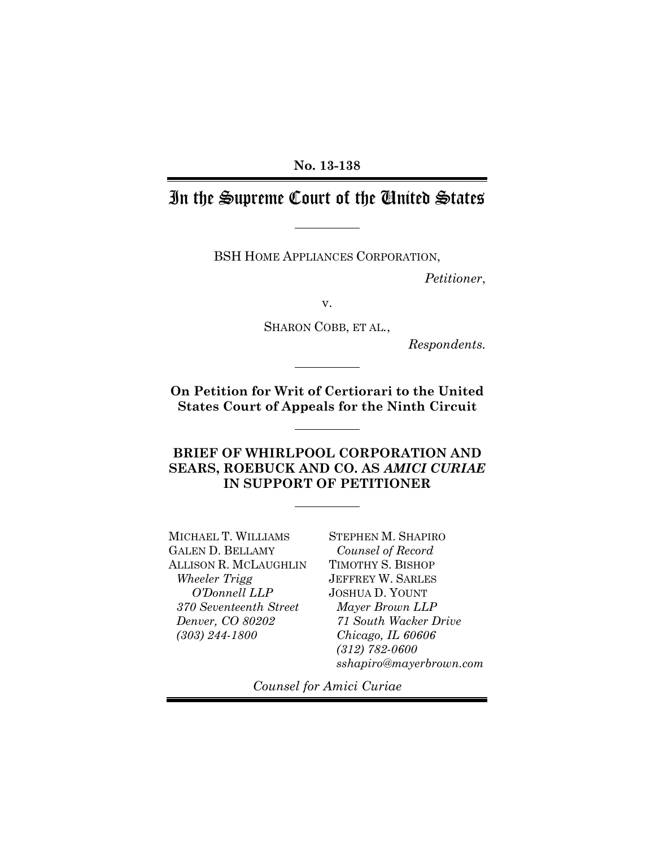### **No. 13-138**

# In the Supreme Court of the United States

BSH HOME APPLIANCES CORPORATION,

*Petitioner*,

v.

SHARON COBB, ET AL*.*,

*Respondents.*

**On Petition for Writ of Certiorari to the United States Court of Appeals for the Ninth Circuit**

**BRIEF OF WHIRLPOOL CORPORATION AND SEARS, ROEBUCK AND CO. AS** *AMICI CURIAE* **IN SUPPORT OF PETITIONER**

MICHAEL T. WILLIAMS GALEN D. BELLAMY ALLISON R. MCLAUGHLIN *Wheeler Trigg O'Donnell LLP 370 Seventeenth Street Denver, CO 80202 (303) 244-1800*

STEPHEN M. SHAPIRO *Counsel of Record* TIMOTHY S. BISHOP JEFFREY W. SARLES JOSHUA D. YOUNT *Mayer Brown LLP 71 South Wacker Drive Chicago, IL 60606 (312) 782-0600 sshapiro@mayerbrown.com*

*Counsel for Amici Curiae*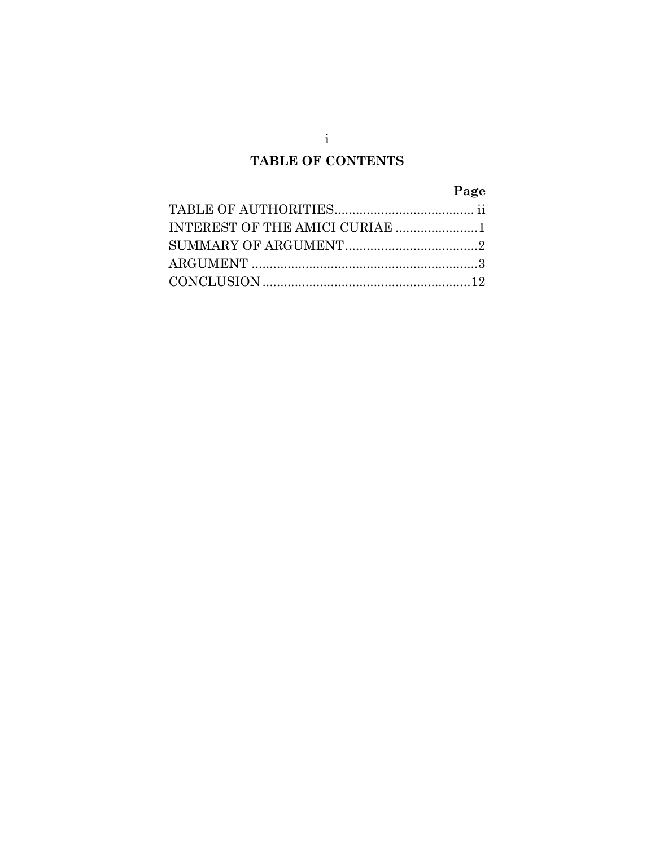## **TABLE OF CONTENTS**

# **Page**

| INTEREST OF THE AMICI CURIAE 1 |  |
|--------------------------------|--|
|                                |  |
|                                |  |
|                                |  |

i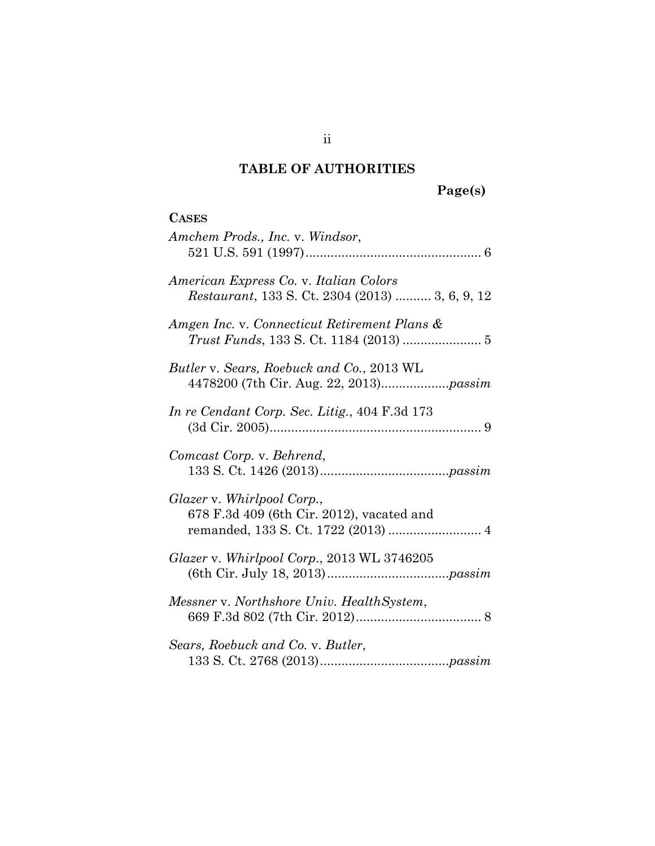# <span id="page-2-0"></span>**TABLE OF AUTHORITIES**

# **Page(s)**

| <b>CASES</b>                                                                              |
|-------------------------------------------------------------------------------------------|
| Amchem Prods., Inc. v. Windsor,                                                           |
| American Express Co. v. Italian Colors<br>Restaurant, 133 S. Ct. 2304 (2013)  3, 6, 9, 12 |
| Amgen Inc. v. Connecticut Retirement Plans &                                              |
| Butler v. Sears, Roebuck and Co., 2013 WL                                                 |
| In re Cendant Corp. Sec. Litig., 404 F.3d 173                                             |
| Comcast Corp. v. Behrend,                                                                 |
| Glazer v. Whirlpool Corp.,<br>678 F.3d 409 (6th Cir. 2012), vacated and                   |
| Glazer v. Whirlpool Corp., 2013 WL 3746205                                                |
| Messner v. Northshore Univ. HealthSystem,                                                 |
| Sears, Roebuck and Co. v. Butler,                                                         |

## ii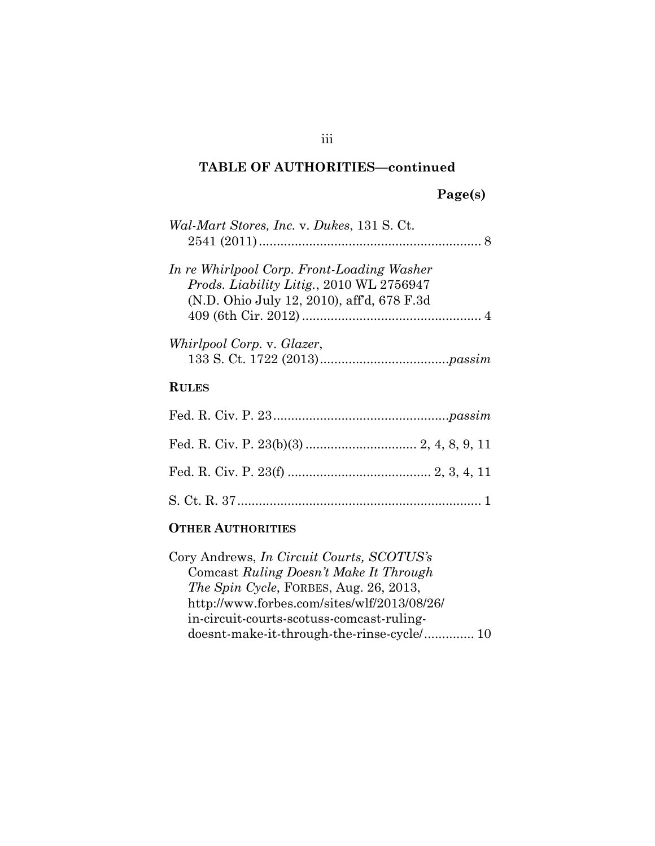## **TABLE OF AUTHORITIES—continued**

# **Page(s)**

| Wal-Mart Stores, Inc. v. Dukes, 131 S. Ct.                                                                                                  |
|---------------------------------------------------------------------------------------------------------------------------------------------|
| In re Whirlpool Corp. Front-Loading Washer<br><i>Prods. Liability Litig., 2010 WL 2756947</i><br>(N.D. Ohio July 12, 2010), aff'd, 678 F.3d |
| Whirlpool Corp. v. Glazer,                                                                                                                  |
| <b>RULES</b>                                                                                                                                |
|                                                                                                                                             |
|                                                                                                                                             |
|                                                                                                                                             |
|                                                                                                                                             |

## **OTHER AUTHORITIES**

| Cory Andrews, <i>In Circuit Courts</i> , <i>SCOTUS's</i> |
|----------------------------------------------------------|
| Comcast Ruling Doesn't Make It Through                   |
| <i>The Spin Cycle, FORBES, Aug. 26, 2013,</i>            |
| http://www.forbes.com/sites/wlf/2013/08/26/              |
| in-circuit-courts-scotuss-comcast-ruling-                |
| doesnt-make-it-through-the-rinse-cycle/ 10               |
|                                                          |

### iii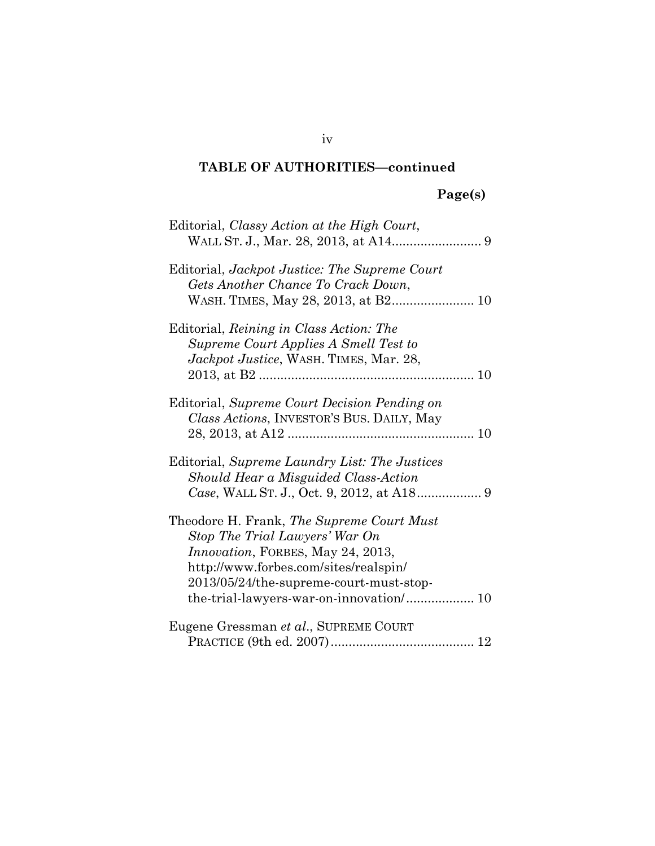### **TABLE OF AUTHORITIES—continued**

# **Page(s)**

| Editorial, Classy Action at the High Court,                                                                                                                                                                                                             |
|---------------------------------------------------------------------------------------------------------------------------------------------------------------------------------------------------------------------------------------------------------|
| Editorial, Jackpot Justice: The Supreme Court<br>Gets Another Chance To Crack Down,                                                                                                                                                                     |
| Editorial, Reining in Class Action: The<br>Supreme Court Applies A Smell Test to<br>Jackpot Justice, WASH. TIMES, Mar. 28,                                                                                                                              |
| Editorial, Supreme Court Decision Pending on<br>Class Actions, INVESTOR'S BUS. DAILY, May                                                                                                                                                               |
| Editorial, Supreme Laundry List: The Justices<br>Should Hear a Misguided Class-Action                                                                                                                                                                   |
| Theodore H. Frank, The Supreme Court Must<br>Stop The Trial Lawyers' War On<br><i>Innovation</i> , FORBES, May 24, 2013,<br>http://www.forbes.com/sites/realspin/<br>2013/05/24/the-supreme-court-must-stop-<br>the-trial-lawyers-war-on-innovation/ 10 |
| Eugene Gressman et al., SUPREME COURT                                                                                                                                                                                                                   |

iv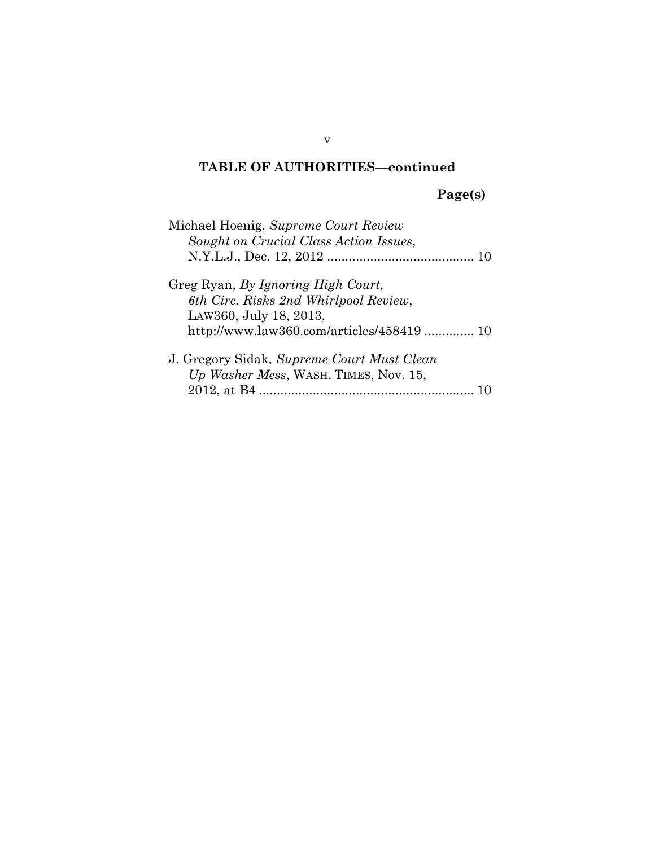## **TABLE OF AUTHORITIES—continued**

# **Page(s)**

| Michael Hoenig, Supreme Court Review       |
|--------------------------------------------|
| Sought on Crucial Class Action Issues,     |
|                                            |
| Greg Ryan, By Ignoring High Court,         |
| 6th Circ. Risks 2nd Whirlpool Review,      |
| LAW360, July 18, 2013,                     |
| http://www.law360.com/articles/458419 10   |
| J. Gregory Sidak, Supreme Court Must Clean |
| Up Washer Mess, WASH. TIMES, Nov. 15,      |
|                                            |

v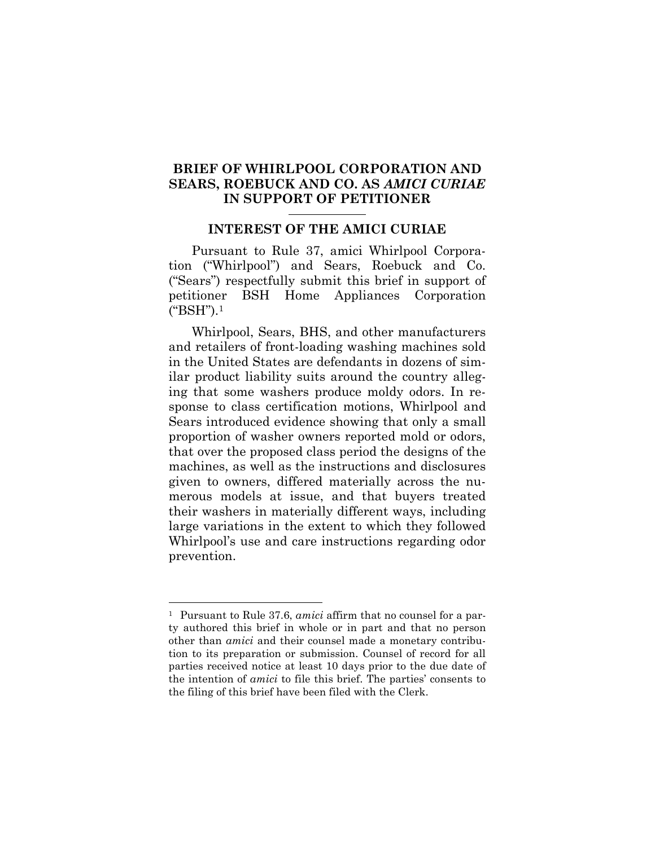### **BRIEF OF WHIRLPOOL CORPORATION AND SEARS, ROEBUCK AND CO. AS** *AMICI CURIAE* **IN SUPPORT OF PETITIONER**

### <span id="page-6-0"></span>**INTEREST OF THE AMICI CURIAE**

Pursuant to Rule 37, amici Whirlpool Corporation ("Whirlpool") and Sears, Roebuck and Co. ("Sears") respectfully submit this brief in support of petitioner BSH Home Appliances Corporation ("BSH").[1](#page-6-1)

Whirlpool, Sears, BHS, and other manufacturers and retailers of front-loading washing machines sold in the United States are defendants in dozens of similar product liability suits around the country alleging that some washers produce moldy odors. In response to class certification motions, Whirlpool and Sears introduced evidence showing that only a small proportion of washer owners reported mold or odors, that over the proposed class period the designs of the machines, as well as the instructions and disclosures given to owners, differed materially across the numerous models at issue, and that buyers treated their washers in materially different ways, including large variations in the extent to which they followed Whirlpool's use and care instructions regarding odor prevention.

<span id="page-6-1"></span><sup>1</sup> Pursuant to Rule 37.6, *amici* affirm that no counsel for a party authored this brief in whole or in part and that no person other than *amici* and their counsel made a monetary contribution to its preparation or submission. Counsel of record for all parties received notice at least 10 days prior to the due date of the intention of *amici* to file this brief. The parties' consents to the filing of this brief have been filed with the Clerk.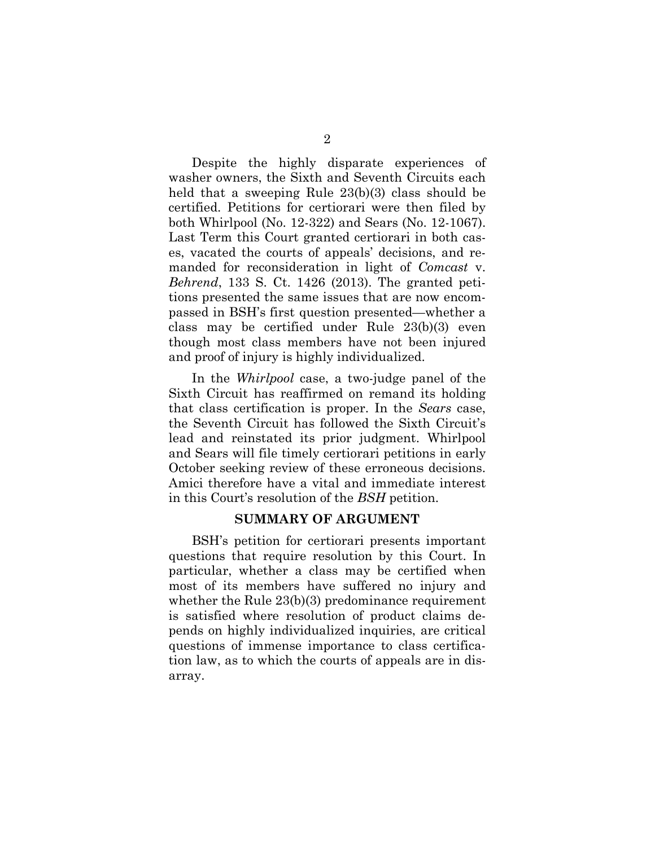Despite the highly disparate experiences of washer owners, the Sixth and Seventh Circuits each held that a sweeping Rule 23(b)(3) class should be certified. Petitions for certiorari were then filed by both Whirlpool (No. 12-322) and Sears (No. 12-1067). Last Term this Court granted certiorari in both cases, vacated the courts of appeals' decisions, and remanded for reconsideration in light of *Comcast* v. *Behrend*, 133 S. Ct. 1426 (2013). The granted petitions presented the same issues that are now encompassed in BSH's first question presented—whether a class may be certified under Rule 23(b)(3) even though most class members have not been injured and proof of injury is highly individualized.

In the *Whirlpool* case, a two-judge panel of the Sixth Circuit has reaffirmed on remand its holding that class certification is proper. In the *Sears* case, the Seventh Circuit has followed the Sixth Circuit's lead and reinstated its prior judgment. Whirlpool and Sears will file timely certiorari petitions in early October seeking review of these erroneous decisions. Amici therefore have a vital and immediate interest in this Court's resolution of the *BSH* petition.

#### <span id="page-7-0"></span>**SUMMARY OF ARGUMENT**

BSH's petition for certiorari presents important questions that require resolution by this Court. In particular, whether a class may be certified when most of its members have suffered no injury and whether the Rule 23(b)(3) predominance requirement is satisfied where resolution of product claims depends on highly individualized inquiries, are critical questions of immense importance to class certification law, as to which the courts of appeals are in disarray.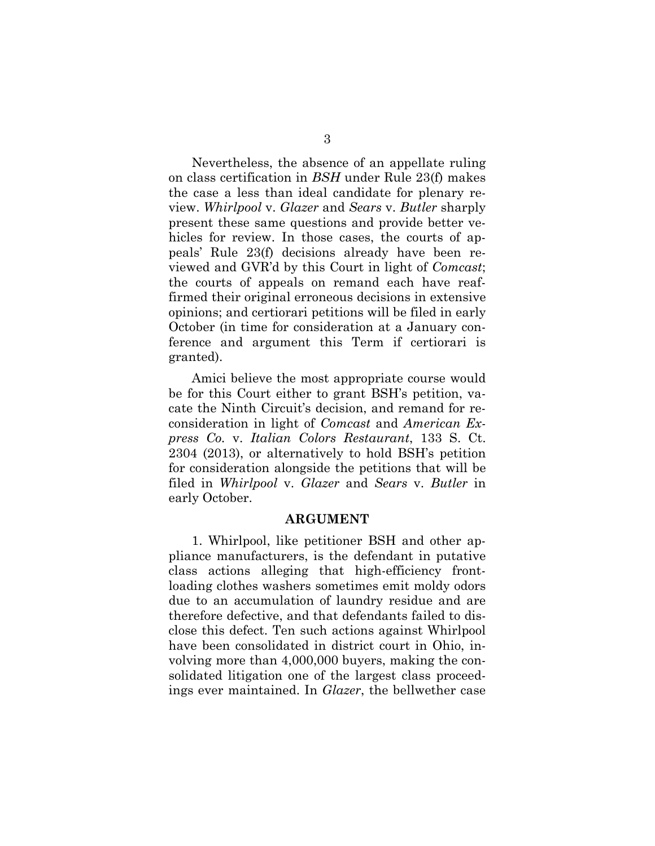Nevertheless, the absence of an appellate ruling on class certification in *BSH* under Rule 23(f) makes the case a less than ideal candidate for plenary review. *Whirlpool* v. *Glazer* and *Sears* v. *Butler* sharply present these same questions and provide better vehicles for review. In those cases, the courts of appeals' Rule 23(f) decisions already have been reviewed and GVR'd by this Court in light of *Comcast*; the courts of appeals on remand each have reaffirmed their original erroneous decisions in extensive opinions; and certiorari petitions will be filed in early October (in time for consideration at a January conference and argument this Term if certiorari is granted).

Amici believe the most appropriate course would be for this Court either to grant BSH's petition, vacate the Ninth Circuit's decision, and remand for reconsideration in light of *Comcast* and *American Express Co.* v. *Italian Colors Restaurant*, 133 S. Ct. 2304 (2013), or alternatively to hold BSH's petition for consideration alongside the petitions that will be filed in *Whirlpool* v. *Glazer* and *Sears* v. *Butler* in early October.

#### <span id="page-8-0"></span>**ARGUMENT**

1. Whirlpool, like petitioner BSH and other appliance manufacturers, is the defendant in putative class actions alleging that high-efficiency frontloading clothes washers sometimes emit moldy odors due to an accumulation of laundry residue and are therefore defective, and that defendants failed to disclose this defect. Ten such actions against Whirlpool have been consolidated in district court in Ohio, involving more than 4,000,000 buyers, making the consolidated litigation one of the largest class proceedings ever maintained. In *Glazer*, the bellwether case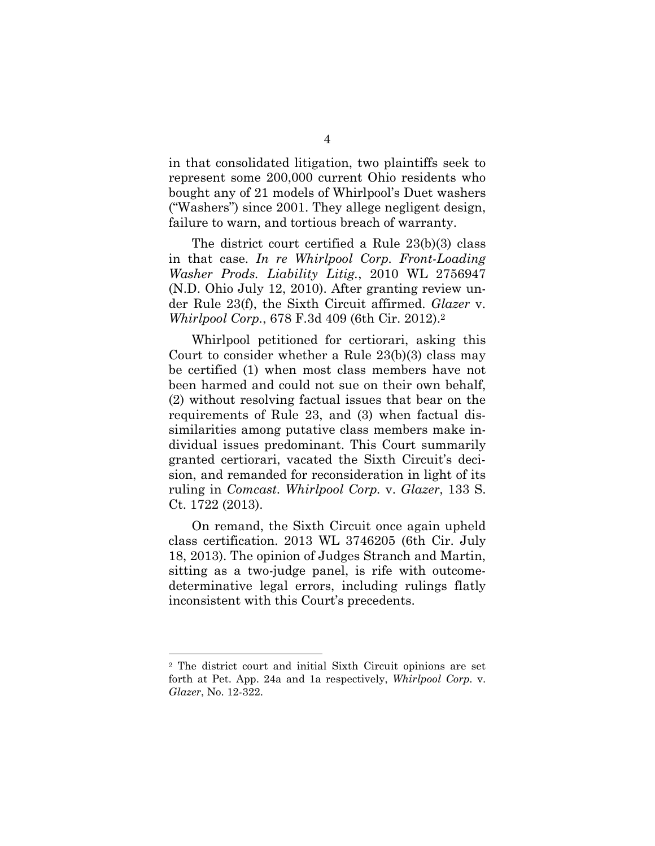in that consolidated litigation, two plaintiffs seek to represent some 200,000 current Ohio residents who bought any of 21 models of Whirlpool's Duet washers ("Washers") since 2001. They allege negligent design, failure to warn, and tortious breach of warranty.

The district court certified a Rule 23(b)(3) class in that case. *In re Whirlpool Corp. Front-Loading Washer Prods. Liability Litig.*, 2010 WL 2756947 (N.D. Ohio July 12, 2010). After granting review under Rule 23(f), the Sixth Circuit affirmed. *Glazer* v. *Whirlpool Corp.*, 678 F.3d 409 (6th Cir. 2012).[2](#page-9-0)

Whirlpool petitioned for certiorari, asking this Court to consider whether a Rule 23(b)(3) class may be certified (1) when most class members have not been harmed and could not sue on their own behalf, (2) without resolving factual issues that bear on the requirements of Rule 23, and (3) when factual dissimilarities among putative class members make individual issues predominant. This Court summarily granted certiorari, vacated the Sixth Circuit's decision, and remanded for reconsideration in light of its ruling in *Comcast*. *Whirlpool Corp.* v. *Glazer*, 133 S. Ct. 1722 (2013).

On remand, the Sixth Circuit once again upheld class certification. 2013 WL 3746205 (6th Cir. July 18, 2013). The opinion of Judges Stranch and Martin, sitting as a two-judge panel, is rife with outcomedeterminative legal errors, including rulings flatly inconsistent with this Court's precedents.

<span id="page-9-0"></span><sup>2</sup> The district court and initial Sixth Circuit opinions are set forth at Pet. App. 24a and 1a respectively, *Whirlpool Corp.* v. *Glazer*, No. 12-322.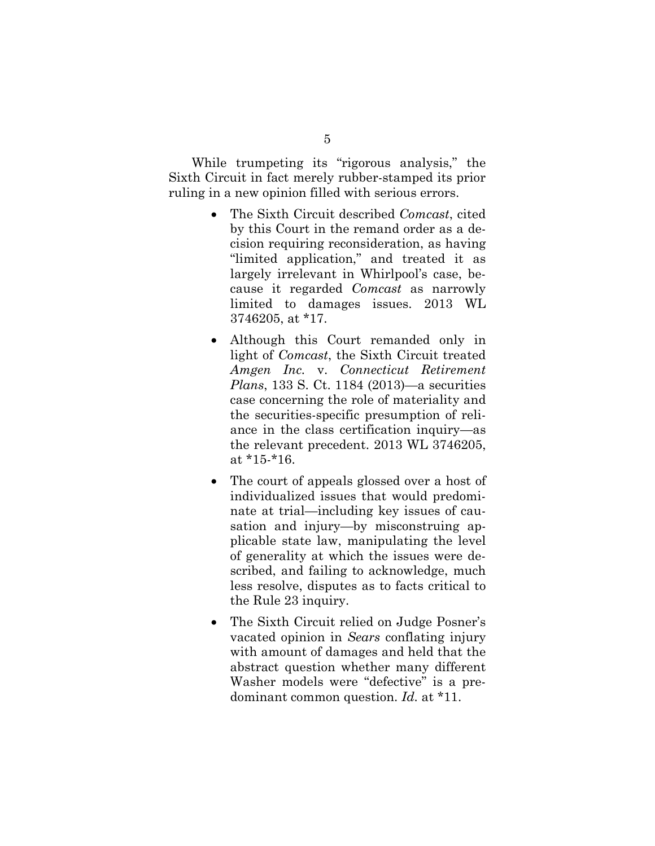While trumpeting its "rigorous analysis," the Sixth Circuit in fact merely rubber-stamped its prior ruling in a new opinion filled with serious errors.

- The Sixth Circuit described *Comcast*, cited by this Court in the remand order as a decision requiring reconsideration, as having "limited application," and treated it as largely irrelevant in Whirlpool's case, because it regarded *Comcast* as narrowly limited to damages issues. 2013 WL 3746205, at \*17.
- Although this Court remanded only in light of *Comcast*, the Sixth Circuit treated *Amgen Inc.* v. *Connecticut Retirement Plans*, 133 S. Ct. 1184 (2013)—a securities case concerning the role of materiality and the securities-specific presumption of reliance in the class certification inquiry—as the relevant precedent. 2013 WL 3746205, at \*15-\*16.
- The court of appeals glossed over a host of individualized issues that would predominate at trial—including key issues of causation and injury—by misconstruing applicable state law, manipulating the level of generality at which the issues were described, and failing to acknowledge, much less resolve, disputes as to facts critical to the Rule 23 inquiry.
- The Sixth Circuit relied on Judge Posner's vacated opinion in *Sears* conflating injury with amount of damages and held that the abstract question whether many different Washer models were "defective" is a predominant common question. *Id.* at \*11.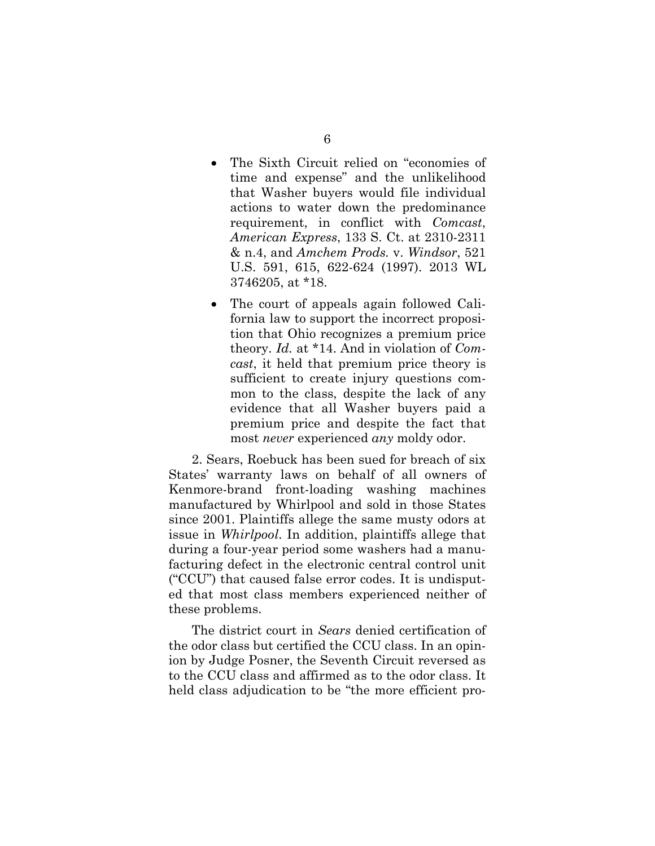- The Sixth Circuit relied on "economies of time and expense" and the unlikelihood that Washer buyers would file individual actions to water down the predominance requirement, in conflict with *Comcast*, *American Express*, 133 S. Ct. at 2310-2311 & n.4, and *Amchem Prods.* v. *Windsor*, 521 U.S. 591, 615, 622-624 (1997). 2013 WL 3746205, at \*18.
- The court of appeals again followed California law to support the incorrect proposition that Ohio recognizes a premium price theory. *Id.* at \*14. And in violation of *Comcast*, it held that premium price theory is sufficient to create injury questions common to the class, despite the lack of any evidence that all Washer buyers paid a premium price and despite the fact that most *never* experienced *any* moldy odor.

2. Sears, Roebuck has been sued for breach of six States' warranty laws on behalf of all owners of Kenmore-brand front-loading washing machines manufactured by Whirlpool and sold in those States since 2001. Plaintiffs allege the same musty odors at issue in *Whirlpool*. In addition, plaintiffs allege that during a four-year period some washers had a manufacturing defect in the electronic central control unit ("CCU") that caused false error codes. It is undisputed that most class members experienced neither of these problems.

The district court in *Sears* denied certification of the odor class but certified the CCU class. In an opinion by Judge Posner, the Seventh Circuit reversed as to the CCU class and affirmed as to the odor class. It held class adjudication to be "the more efficient pro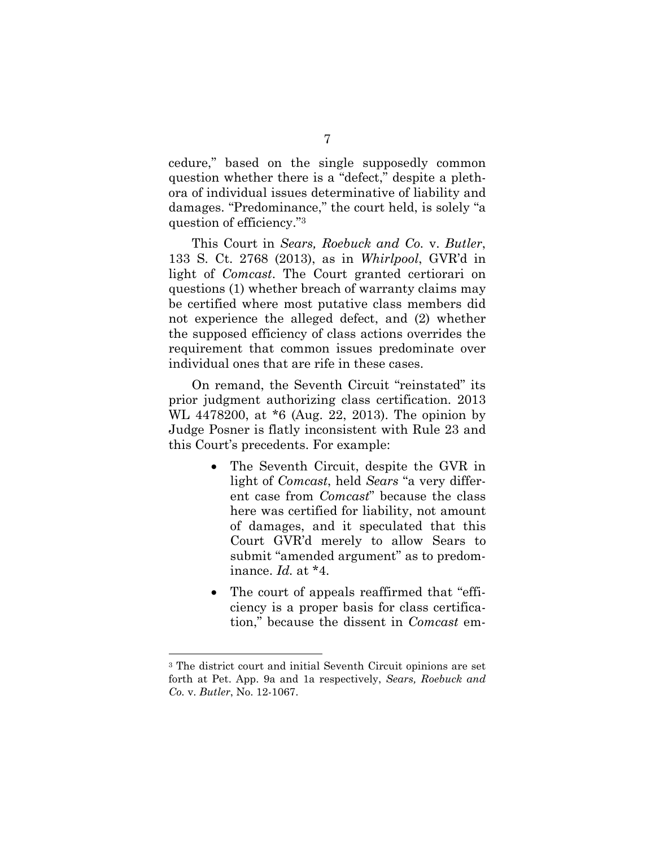cedure," based on the single supposedly common question whether there is a "defect," despite a plethora of individual issues determinative of liability and damages. "Predominance," the court held, is solely "a question of efficiency."[3](#page-12-0)

This Court in *Sears, Roebuck and Co.* v. *Butler*, 133 S. Ct. 2768 (2013), as in *Whirlpool*, GVR'd in light of *Comcast*. The Court granted certiorari on questions (1) whether breach of warranty claims may be certified where most putative class members did not experience the alleged defect, and (2) whether the supposed efficiency of class actions overrides the requirement that common issues predominate over individual ones that are rife in these cases.

On remand, the Seventh Circuit "reinstated" its prior judgment authorizing class certification. 2013 WL 4478200, at \*6 (Aug. 22, 2013). The opinion by Judge Posner is flatly inconsistent with Rule 23 and this Court's precedents. For example:

- The Seventh Circuit, despite the GVR in light of *Comcast*, held *Sears* "a very different case from *Comcast*" because the class here was certified for liability, not amount of damages, and it speculated that this Court GVR'd merely to allow Sears to submit "amended argument" as to predominance. *Id.* at \*4.
- The court of appeals reaffirmed that "efficiency is a proper basis for class certification," because the dissent in *Comcast* em-

<span id="page-12-0"></span><sup>3</sup> The district court and initial Seventh Circuit opinions are set forth at Pet. App. 9a and 1a respectively, *Sears, Roebuck and Co.* v. *Butler*, No. 12-1067.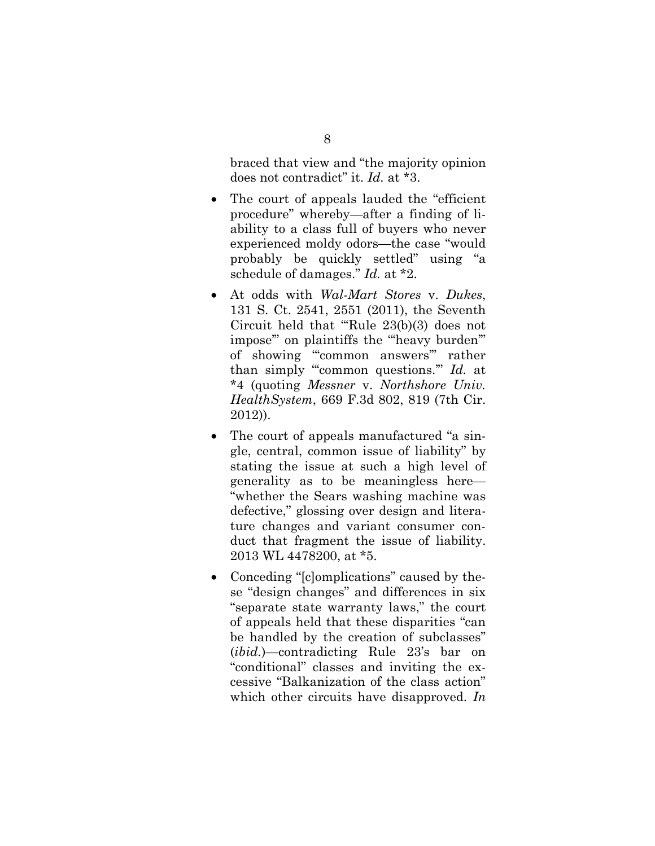braced that view and "the majority opinion does not contradict" it. *Id.* at \*3.

- The court of appeals lauded the "efficient" procedure" whereby—after a finding of liability to a class full of buyers who never experienced moldy odors—the case "would probably be quickly settled" using "a schedule of damages." *Id.* at \*2.
- At odds with *Wal-Mart Stores* v. *Dukes*, 131 S. Ct. 2541, 2551 (2011), the Seventh Circuit held that "'Rule 23(b)(3) does not impose" on plaintiffs the "heavy burden" of showing "'common answers'" rather than simply "'common questions.'" *Id.* at \*4 (quoting *Messner* v. *Northshore Univ. HealthSystem*, 669 F.3d 802, 819 (7th Cir. 2012)).
- The court of appeals manufactured "a single, central, common issue of liability" by stating the issue at such a high level of generality as to be meaningless here— "whether the Sears washing machine was defective," glossing over design and literature changes and variant consumer conduct that fragment the issue of liability. 2013 WL 4478200, at \*5.
- Conceding "[c]omplications" caused by these "design changes" and differences in six "separate state warranty laws," the court of appeals held that these disparities "can be handled by the creation of subclasses" (*ibid.*)—contradicting Rule 23's bar on "conditional" classes and inviting the excessive "Balkanization of the class action" which other circuits have disapproved. *In*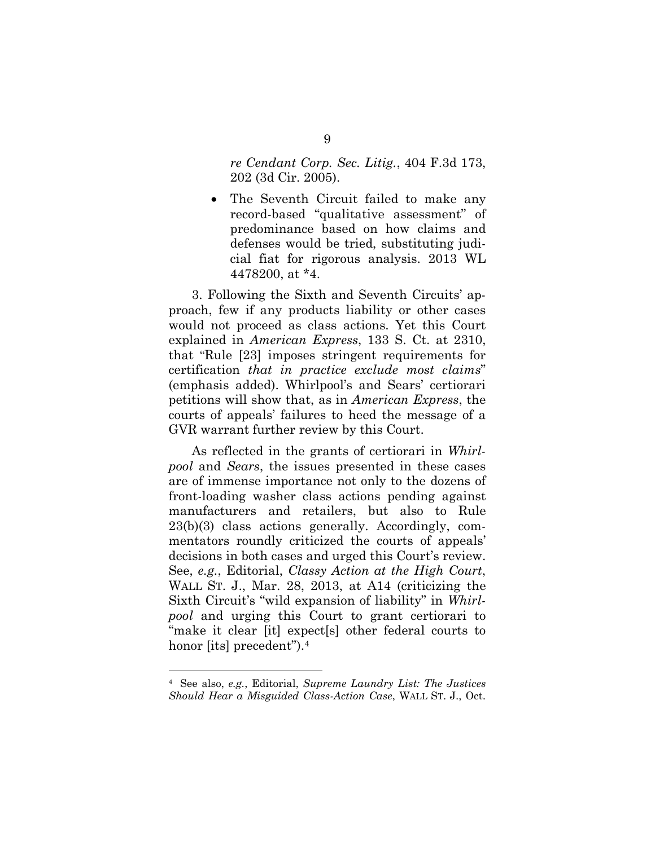*re Cendant Corp. Sec. Litig.*, 404 F.3d 173, 202 (3d Cir. 2005).

 The Seventh Circuit failed to make any record-based "qualitative assessment" of predominance based on how claims and defenses would be tried, substituting judicial fiat for rigorous analysis. 2013 WL 4478200, at \*4.

3. Following the Sixth and Seventh Circuits' approach, few if any products liability or other cases would not proceed as class actions. Yet this Court explained in *American Express*, 133 S. Ct. at 2310, that "Rule [23] imposes stringent requirements for certification *that in practice exclude most claims*" (emphasis added). Whirlpool's and Sears' certiorari petitions will show that, as in *American Express*, the courts of appeals' failures to heed the message of a GVR warrant further review by this Court.

As reflected in the grants of certiorari in *Whirlpool* and *Sears*, the issues presented in these cases are of immense importance not only to the dozens of front-loading washer class actions pending against manufacturers and retailers, but also to Rule 23(b)(3) class actions generally. Accordingly, commentators roundly criticized the courts of appeals' decisions in both cases and urged this Court's review. See, *e.g.*, Editorial, *Classy Action at the High Court*, WALL ST. J., Mar. 28, 2013, at A14 (criticizing the Sixth Circuit's "wild expansion of liability" in *Whirlpool* and urging this Court to grant certiorari to "make it clear [it] expect[s] other federal courts to honor [its] precedent").<sup>[4](#page-14-0)</sup>

<span id="page-14-0"></span><sup>4</sup> See also, *e.g.*, Editorial, *Supreme Laundry List: The Justices Should Hear a Misguided Class-Action Case*, WALL ST. J., Oct.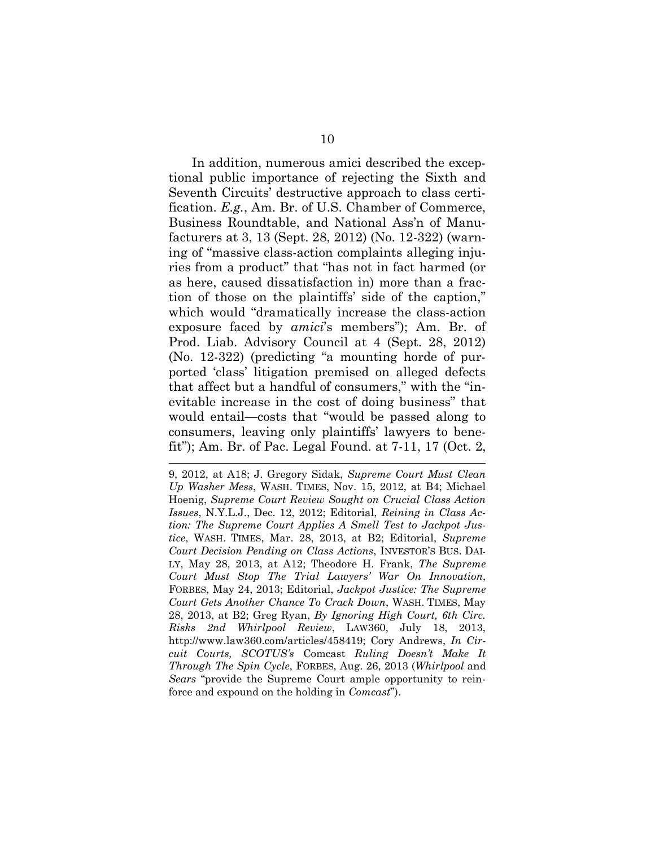In addition, numerous amici described the exceptional public importance of rejecting the Sixth and Seventh Circuits' destructive approach to class certification. *E.g.*, Am. Br. of U.S. Chamber of Commerce, Business Roundtable, and National Ass'n of Manufacturers at 3, 13 (Sept. 28, 2012) (No. 12-322) (warning of "massive class-action complaints alleging injuries from a product" that "has not in fact harmed (or as here, caused dissatisfaction in) more than a fraction of those on the plaintiffs' side of the caption," which would "dramatically increase the class-action exposure faced by *amici*'s members"); Am. Br. of Prod. Liab. Advisory Council at 4 (Sept. 28, 2012) (No. 12-322) (predicting "a mounting horde of purported 'class' litigation premised on alleged defects that affect but a handful of consumers," with the "inevitable increase in the cost of doing business" that would entail—costs that "would be passed along to consumers, leaving only plaintiffs' lawyers to benefit"); Am. Br. of Pac. Legal Found. at 7-11, 17 (Oct. 2,

9, 2012, at A18; J. Gregory Sidak, *Supreme Court Must Clean Up Washer Mess*, WASH. TIMES, Nov. 15, 2012, at B4; Michael Hoenig, *Supreme Court Review Sought on Crucial Class Action Issues*, N.Y.L.J., Dec. 12, 2012; Editorial, *Reining in Class Action: The Supreme Court Applies A Smell Test to Jackpot Justice*, WASH. TIMES, Mar. 28, 2013, at B2; Editorial, *Supreme Court Decision Pending on Class Actions*, INVESTOR'S BUS. DAI-LY, May 28, 2013, at A12; Theodore H. Frank, *The Supreme Court Must Stop The Trial Lawyers' War On Innovation*, FORBES, May 24, 2013; Editorial, *Jackpot Justice: The Supreme Court Gets Another Chance To Crack Down*, WASH. TIMES, May 28, 2013, at B2; Greg Ryan, *By Ignoring High Court, 6th Circ. Risks 2nd Whirlpool Review*, LAW360, July 18, 2013, http://www.law360.com/articles/458419; Cory Andrews, *In Circuit Courts, SCOTUS's* Comcast *Ruling Doesn't Make It Through The Spin Cycle*, FORBES, Aug. 26, 2013 (*Whirlpool* and *Sears* "provide the Supreme Court ample opportunity to reinforce and expound on the holding in *Comcast*").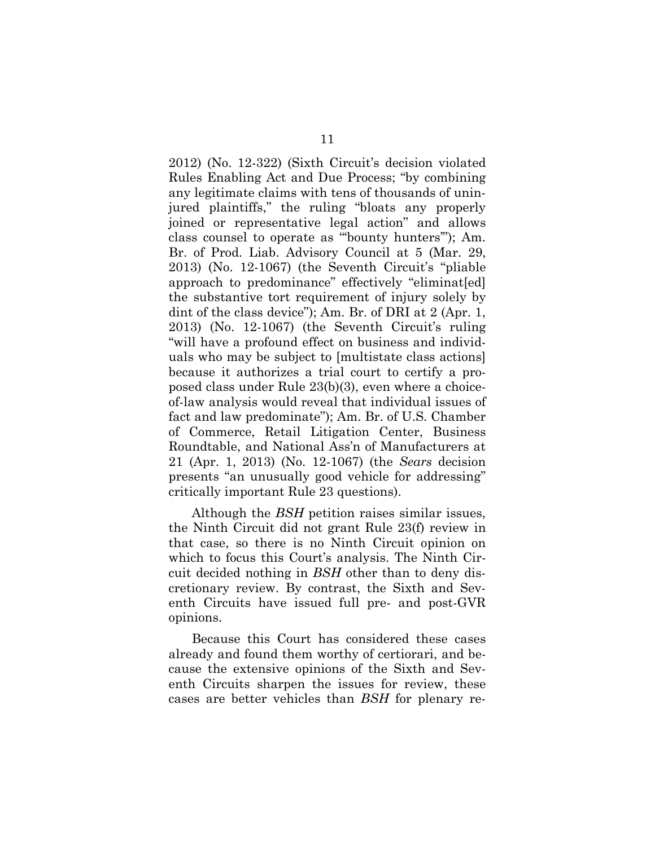2012) (No. 12-322) (Sixth Circuit's decision violated Rules Enabling Act and Due Process; "by combining any legitimate claims with tens of thousands of uninjured plaintiffs," the ruling "bloats any properly joined or representative legal action" and allows class counsel to operate as "'bounty hunters'"); Am. Br. of Prod. Liab. Advisory Council at 5 (Mar. 29, 2013) (No. 12-1067) (the Seventh Circuit's "pliable approach to predominance" effectively "eliminated the substantive tort requirement of injury solely by dint of the class device"); Am. Br. of DRI at 2 (Apr. 1, 2013) (No. 12-1067) (the Seventh Circuit's ruling "will have a profound effect on business and individuals who may be subject to [multistate class actions] because it authorizes a trial court to certify a proposed class under Rule 23(b)(3), even where a choiceof-law analysis would reveal that individual issues of fact and law predominate"); Am. Br. of U.S. Chamber of Commerce, Retail Litigation Center, Business Roundtable, and National Ass'n of Manufacturers at 21 (Apr. 1, 2013) (No. 12-1067) (the *Sears* decision presents "an unusually good vehicle for addressing" critically important Rule 23 questions).

Although the *BSH* petition raises similar issues, the Ninth Circuit did not grant Rule 23(f) review in that case, so there is no Ninth Circuit opinion on which to focus this Court's analysis. The Ninth Circuit decided nothing in *BSH* other than to deny discretionary review. By contrast, the Sixth and Seventh Circuits have issued full pre- and post-GVR opinions.

Because this Court has considered these cases already and found them worthy of certiorari, and because the extensive opinions of the Sixth and Seventh Circuits sharpen the issues for review, these cases are better vehicles than *BSH* for plenary re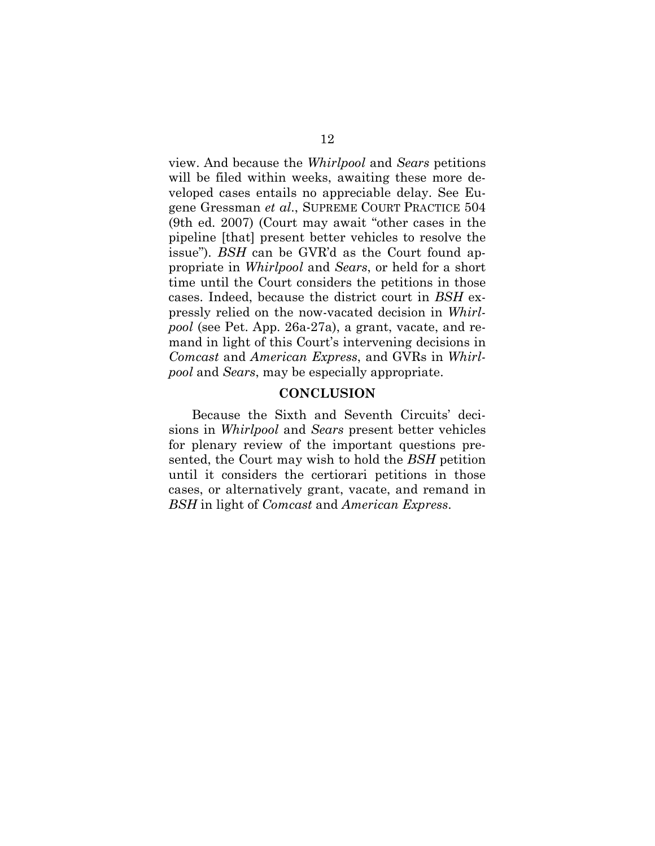view. And because the *Whirlpool* and *Sears* petitions will be filed within weeks, awaiting these more developed cases entails no appreciable delay. See Eugene Gressman *et al*., SUPREME COURT PRACTICE 504 (9th ed. 2007) (Court may await "other cases in the pipeline [that] present better vehicles to resolve the issue"). *BSH* can be GVR'd as the Court found appropriate in *Whirlpool* and *Sears*, or held for a short time until the Court considers the petitions in those cases. Indeed, because the district court in *BSH* expressly relied on the now-vacated decision in *Whirlpool* (see Pet. App. 26a-27a), a grant, vacate, and remand in light of this Court's intervening decisions in *Comcast* and *American Express*, and GVRs in *Whirlpool* and *Sears*, may be especially appropriate.

#### <span id="page-17-0"></span>**CONCLUSION**

Because the Sixth and Seventh Circuits' decisions in *Whirlpool* and *Sears* present better vehicles for plenary review of the important questions presented, the Court may wish to hold the *BSH* petition until it considers the certiorari petitions in those cases, or alternatively grant, vacate, and remand in *BSH* in light of *Comcast* and *American Express*.